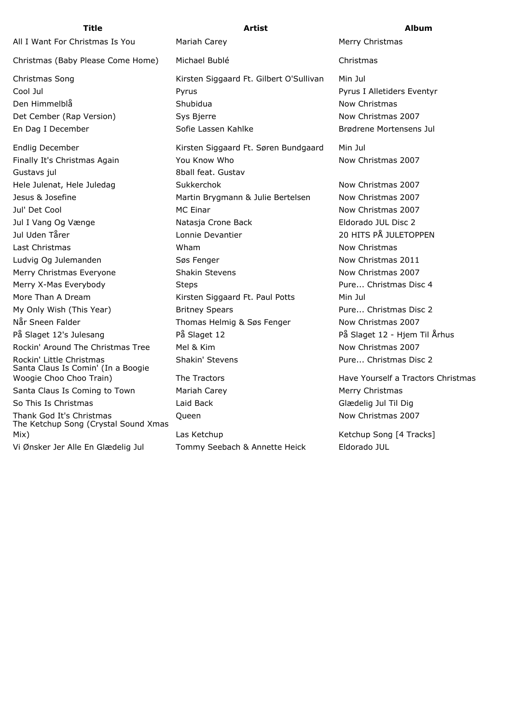Christmas (Baby Please Come Home) Michael Bublé Christmas

Finally It's Christmas Again **You Know Who** Now Christmas 2007 Gustavs jul 8ball feat. Gustav Hele Julenat, Hele Juledag **Sukkerchok Now Christmas 2007** Jesus & Josefine Martin Brygmann & Julie Bertelsen Now Christmas 2007 Jul' Det Cool **MC Einar** MC Einar Now Christmas 2007 Jul I Vang Og Vænge Natasja Crone Back Eldorado JUL Disc 2 Jul Uden Tårer Lonnie Devantier 20 HITS PÅ JULETOPPEN Last Christmas **Now Christmas** Wham **Wham** Now Christmas Now Christmas Ludvig Og Julemanden Søs Fenger Now Christmas 2011 Merry Christmas Everyone Shakin Stevens Now Christmas 2007 Merry X-Mas Everybody **Steps** Steps **Pure... Christmas Disc 4** More Than A Dream **More 19 Riggaard Ft. Paul Potts** Min Jul My Only Wish (This Year) **Britney Spears** Pure... Christmas Disc 2 Når Sneen Falder Thomas Helmig & Søs Fenger Now Christmas 2007 På Slaget 12's Julesang På Slaget 12 På Slaget 12 - Hjem Til Århus Rockin' Around The Christmas Tree Mel & Kim Now Christmas 2007 Rockin' Little Christmas **Shakin' Stevens** Pure... Christmas Disc 2 Santa Claus Is Comin' (In a Boogie Woogie Choo Choo Train) The Tractors Have Yourself a Tractors Christmas Santa Claus Is Coming to Town Mariah Carey Merry Merry Christmas So This Is Christmas Laid Back Glædelig Jul Til Dig Thank God It's Christmas **Cueen** Cueen **Now Christmas 2007** The Ketchup Song (Crystal Sound Xmas Mix) Las Ketchup Las Ketchup Computer (Ketchup Song [4 Tracks] Vi Ønsker Jer Alle En Glædelig Jul Tommy Seebach & Annette Heick Eldorado JUL

All I Want For Christmas Is You Mariah Carey Merry Christmas Merry Christmas Christmas Song The Siggaard Ft. Gilbert O'Sullivan Min Jul Cool Jul Pyrus Pyrus I Alletiders Eventyr Den Himmelblå Shubidua Now Christmas Det Cember (Rap Version) Sys Bjerre Now Christmas 2007 En Dag I December Sofie Lassen Kahlke Brødrene Mortensens Jul Endlig December Kirsten Siggaard Ft. Søren Bundgaard Min Jul